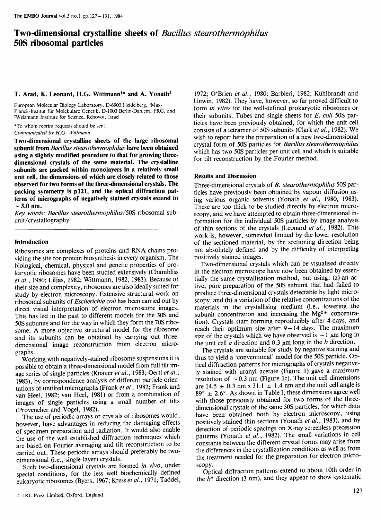# Two-dimensional crystalline sheets of Bacillus stearothermophilus 50S ribosomal particles

### T. Arad, K. Leonard, H.G. Wittmann<sup>1\*</sup> and A. Yonath<sup>2</sup>

European Molecular Biology Laboratory, D-6900 Heidelberg, 1Max-Planck-lnstitut fur Molekulare Genetik, D-1000 Berlin-Dahlem, FRG, and 2Weizmann Institute for Science, Rehovot, Israel

\*To whom reprint requests should be sent Communicated by H.G. Wittmann

Two-dimensional crystalline sheets of the large ribosomal subunit from Bacillus stearothermophilus have been obtained using <sup>a</sup> slightly modified procedure to that for growing threedimensional crystals of the same material. The crystalline subunits are packed within monolayers in a relatively small unit cell, the dimensions of which are closely related to those observed for two forms of the three-dimensional crystals. The packing symmetry is p121, and the optical diffraction patterns of micrographs of negatively stained crystals extend to  $-3.0$  nm.

Key words: Bacillus stearothermophilus/50S ribosomal subunit/crystallography

# Introduction

Ribosomes are complexes of proteins and RNA chains providing the site for protein biosynthesis in every organism. The biological, chemical, physical and genetic properties of prokaryotic ribosomes have been studied extensively (Chambliss et al., 1980; Liljas, 1982; Wittmann, 1982, 1983). Because of their size and complexity, ribosomes are also ideally suited for study by electron microscopy. Extensive structural work on ribosomal subunits of Escherichia coli has been carried out by direct visual interpretation of electron microscope images. This has led in the past to different models for the 30S and 50S subunits and for the way in which they form the 70S ribosome. A more objective structural model for the ribosome and its subunits can be obtained by carrying out threedimensional image reconstruction from electron micrographs.

Working with negatively-stained ribosome suspensions it is possible to obtain a three-dimensional model from full tilt image series of single particles (Knauer et al., 1983; Oertl et al., 1983), by correspondence analysis of different particle orientations of untilted micrographs (Frank et al., 1982; Frank and van Heel, 1982; van Heel, 1981) or from a combination of images of single particles using a small number of tilts (Provencher and Vogel, 1982).

The use of periodic arrays or crystals of ribosomes would, however, have advantages in reducing the damaging effects of specimen preparation and radiation. It would also enable the use of the well established diffraction techniques which are based on Fourier averaging and tilt reconstruction to be carried out. These periodic arrays should preferably be twodimensional (i.e., single layer) crystals.

Such two-dimensional crystals are formed in vivo, under special conditions, for the less well biochemically defined eukaryotic ribosomes (Byers, 1967; Kress et al., 1971; Taddei,

1972; O'Brien et al., 1980; Barbieri, 1982; Kuhlbrandt and Unwin, 1982). They have, however, so far proved difficult to form in vitro for the well-defined prokaryotic ribosomes or their subunits. Tubes and single sheets for  $E$ . coli 50S particles have been previously obtained, for which the unit cell consists of <sup>a</sup> tetramer of 50S subunits (Clark et al., 1982). We wish to report here the preparation of a new two-dimensional crystal form of 50S particles for Bacillus stearothermophilus which has two 50S particles per unit cell and which is suitable for tilt reconstruction by the Fourier method.

## Results and Discussion

Three-dimensional crystals of B. stearothermophilus 50S particles have previously been obtained by vapour diffusion using various organic solvents (Yonath et al., 1980, 1983). These are too thick to be studied directly by electron microscopy, and we have attempted to obtain three-dimensional information for the individual 50S particles by image analysis of thin sections of the crystals (Leonard et al., 1982). This work is, however, somewhat limited by the lower resolution of the sectioned material, by the sectioning direction being not absolutely defined and by the difficulty of interpreting positively stained images.

Two-dimensional crystals which can be visualised directly in the electron microscope have now been obtained by essentially the same crystallisation method, but using: (a) an active, pure preparation of the 50S subunit that had failed to produce three-dimensional crystals detectable by light microscopy, and (b) a variation of the relative concentrations of the materials in the crystallising medium (i.e., lowering the subunit concentration and increasing the  $Mg^{2+}$  concentration). Crystals start forming reproducibly after 4 days, and reach their optimum size after  $9-14$  days. The maximum size of the crystals which we have observed is  $\sim 1 \mu m$  long in the unit cell  $\alpha$  direction and 0.3  $\mu$ m long in the b direction.

The crystals are suitable for study by negative staining and thus to yield a 'conventional' model for the 50S particle. Optical diffraction patterns for micrographs of crystals negatively stained with uranyl acetate (Figure 1) gave <sup>a</sup> maximum resolution of  $\sim 0.3$  nm (Figure 1c). The unit cell dimensions are 14.5  $\pm$  0.3 nm x 31.1  $\pm$  1.4 nm and the unit cell angle is  $89^{\circ} \pm 2.6^{\circ}$ . As shown in Table I, these dimensions agree well with those previously obtained for two forms of the threedimensional crystals of the same 50S particles, for which data have been obtained both by electron microscopy, using positively stained thin sections (Yonath et al., 1983), and by detection of periodic spacings on X-ray screenless precession patterns (Yonath et al., 1982). The small variations in cell constants between the different crystal forms may arise from the differences in the crystallization conditions as well as from the treatment needed for the preparation for electron microscopy.

Optical diffraction patterns extend to about 10th order in the  $b^*$  direction (3 nm), and they appear to show systematic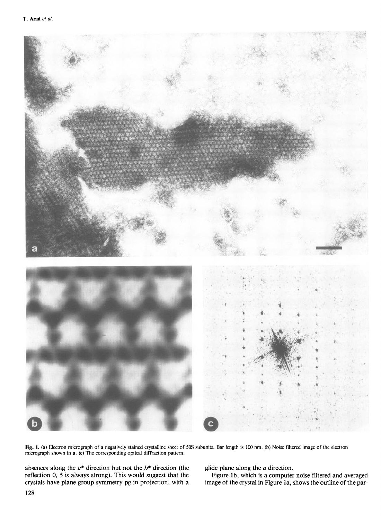

Fig. 1. (a) Electron micrograph of a negatively stained crystalline sheet of 50S subunits. Bar length is 100 nm. (b) Noise filtered image of the electron micrograph shown in a. (c) The corresponding optical diffraction pattern.

absences along the  $a^*$  direction but not the  $b^*$  direction (the reflection 0, 5 is always strong). This would suggest that the crystals have plane group symmetry pg in projection, with a glide plane along the  $a$  direction.

Figure 1b, which is a computer noise filtered and averaged image of the crystal in Figure la, shows the outline of the par-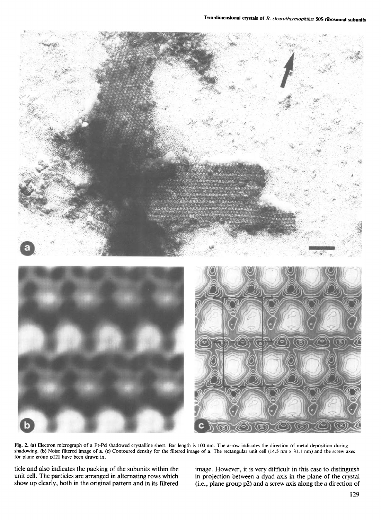

Fig. 2. (a) Electron micrograph of a Pt-Pd shadowed crystalline sheet. Bar length is 100 nm. The arrow indicates the direction of metal deposition during shadowing. (b) Noise filtered image of a. (c) Contoured density for the filtered image of a. The rectangular unit cell (14.5 nm x 31.1 nm) and the screw axes for plane group p121 have been drawn in.

ticle and also indicates the packing of the subunits within the image. However, it is very difficult in this case to distinguish unit cell. The particles are arranged in alternating rows which in projection between a dyad unit cell. The particles are arranged in alternating rows which in projection between a dyad axis in the plane of the crystal show up clearly, both in the original pattern and in its filtered (i.e., plane group p2) and a s (i.e., plane group p2) and a screw axis along the  $a$  direction of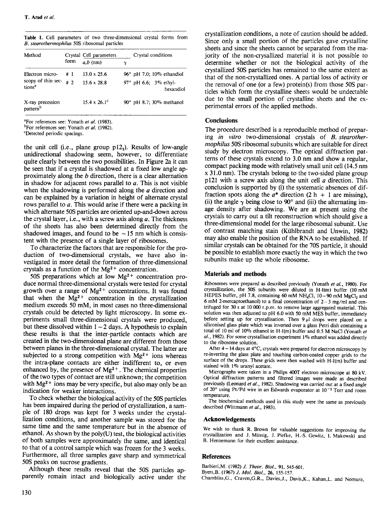|  |                                               |  | <b>Table I.</b> Cell parameters of two three-dimensional crystal forms from |  |  |
|--|-----------------------------------------------|--|-----------------------------------------------------------------------------|--|--|
|  | B. stearothermophilus 50S ribosomal particles |  |                                                                             |  |  |

| Method                                   |      | Crystal Cell parameters    |          | Crystal conditions                     |  |  |  |
|------------------------------------------|------|----------------------------|----------|----------------------------------------|--|--|--|
|                                          | form | $a,b$ (nm)                 | $\gamma$ |                                        |  |  |  |
| Electron micro-                          | # 1  | $13.0 \times 25.6$         |          | $96^\circ$ pH 7.0; 10% ethandiol       |  |  |  |
| scopy of thin sec-<br>tions <sup>a</sup> | #2   | $15.6 \times 28.8$         |          | 97° pH 6.6; $3\%$ ethyl-<br>hexandiol  |  |  |  |
| X-ray precession<br>pattern <sup>b</sup> |      | $15.4 \times 26.1^{\circ}$ |          | 90 $^{\circ}$ pH 8.7; 30 $\%$ methanol |  |  |  |

<sup>a</sup>For references see: Yonath et al. (1983).

bFor references see: Yonath et al. (1982).

cDetected periodic spacings.

the unit cell (i.e., plane group  $p12_1$ ). Results of low-angle unidirectional shadowing seem, however, to differentiate quite clearly between the two possibilities. In Figure 2a it can be seen that if a crystal is shadowed at a fixed low angle approximately along the b direction, there is a clear alternation in shadow for adjacent rows parallel to  $a$ . This is not visible when the shadowing is performed along the  $\alpha$  direction and can be explained by a variation in height of alternate crystal rows parallel to a. This would arise if there were a packing in which alternate SOS particles are oriented up-and-down across the crystal layer, i.e., with a screw axis along  $a$ . The thickness of the sheets has also been determined directly from the shadowed images, and found to be  $\sim$  15 nm which is consistent with the presence of a single layer of ribosomes.

To characterize the factors that are responsible for the production of two-dimensional crystals, we have also investigated in more detail the formation of three-dimensional crystals as a function of the  $Mg^{2+}$  concentration.

50S preparations which at low  $Mg^{2+}$  concentration produce normal three-dimensional crystals were tested for crystal growth over a range of  $Mg^{2+}$  concentrations. It was found that when the  $Mg^{2+}$  concentration in the crystallization medium exceeds 50 mM, in most cases no three-dimensional crystals could be detected by light microscopy. In some experiments small three-dimensional crystals were produced, but these dissolved within  $1-2$  days. A hypothesis to explain these results is that the inter-particle contacts which are created in the two-dimensional plane are different from those between planes in the three-dimensional crystal. The latter are subjected to a strong competition with  $Mg^{2+}$  ions whereas the intra-plane contacts are either indifferent to, or even enhanced by, the presence of  $Mg^{2+}$ . The chemical properties of the two types of contact are still unknown; the competition with  $Mg^{2+}$  ions may be very specific, but also may only be an indication for weaker interactions.

To check whether the biological activity of the 50S particles has been impaired during the period of crystallization, a sample of 180 drops was kept for 3 weeks under the crystallization conditions, and another sample was stored for the same time and the same temperature but in the absence of ethanol. As shown by the poly $(U)$  test, the biological activities of both samples were approximately the same, and identical to that of a control sample which was frozen for the 3 weeks. Furthermore, all three samples gave sharp and symmetrical 50S peaks on sucrose gradients.

Although these results reveal that the 50S particles apparently remain intact and biologically active under the crystallization conditions, a note of caution should be added. Since only a small portion of the particles gave crystalline sheets and since the sheets cannot be separated from the majority of the non-crysallized material it is not possible to determine whether or not the biological activity of the crystallized 50S particles has remained to the same extent as that of the non-crystallized ones. A partial loss of activity or the removal of one (or a few) protein(s) from those 50S particles which form the crystalline sheets would be undectable due to the small portion of crystalline sheets and the experimental errors of the applied methods.

## **Conclusions**

The procedure described is a reproducible method of preparing in vitro two-dimensional crystals of B. stearothermophilus 50S ribosomal subunits which are suitable for direct study by electron microscopy. The optical diffraction patterns of these crystals extend to 3.0 nm and show a regular, compact packing mode with relatively small unit cell (14.5 nm x 31.0 nm). The crystals belong to the two-sided plane group p121 with a screw axis along the unit cell  $\alpha$  direction. This conclusion is supported by (i) the systematic absences of diffraction spots along the  $a^*$  direction (2 h + 1 are missing), (ii) the angle  $\gamma$  being close to 90° and (iii) the alternating image density after shadowing. We are at present using the crystals to carry out a tilt reconstruction which should give a three-dimensional model for the large ribosomal subunit. Use of contrast matching stain (Kuihlbrandt and Unwin, 1982) may also enable the position of the RNA to be established. If similar crystals can be obtained for the 70S particle, it should be possible to establish more exactly the way in which the two subunits make up the whole ribosome.

#### Materials and methods

Ribosomes were prepared as described previously (Yonath et al., 1980). For crystallization, the 50S subunits were diluted in H-I(m) buffer (10 mM HEPES buffer, pH 7.8, containing 60 mM NH<sub>4</sub>Cl,  $10-90$  mM MgCl<sub>2</sub> and 6 mM 2-mercaptoethanol) to a final concentration of  $2-3$  mg/ml and centrifuged for 30 <sup>s</sup> at 10 000 r.p.m. to remove large aggregated material. This solution was then adjusted to pH 6.0 with <sup>50</sup> mM MES buffer, immediately before setting up for crystallisation. Then  $9 \mu l$  drops were placed on a siliconised glass plate which was inverted over a glass Petri dish containing a total of <sup>10</sup> ml of 10% ethanol in H-I(m) buffer and 0.5 M NaCl (Yonath et  $al.$ , 1982). For some crystallisation experiment  $1\%$  ethanol was added directly to the ribosome solution.

After  $4 - 14$  days at  $4^{\circ}$ C, crystals were prepared for electron microscopy by re-inverting the glass plate and touching carbon-coated copper grids to the surface of the drops. These grids were then washed with H-l(m) buffer and stained with 1% uranyl acetate.

Micrographs were taken in a Philips 400T electron microscope at 80 kV. Optical diffraction patterns and filtered images were made as described previously (Leonard et al., 1982). Shadowing was carried out at a fixed angle of 20 $^{\circ}$  using Pt/Pd wire in an Edwards evaporator at 10<sup>-5</sup> Torr and room temperature.

The biochemical methods used in this study were the same as previously described (Wittmann et al., 1983).

#### Acknowledgements

We wish to thank R. Brown for valuable suggestions for improving the crystallization and J. Muissig, J. Piefke, H.-S. Gewitz, 1. Makowski and B. Hennemann for their excellent assistance.

## **References**

Barbieri, M. (1982) J. Theor. Biol., 91, 545-601. Byers,B. (1967) J. Mol. Biol., 26, 155-157.

Chambliss,G., Craven,G.R., Davies,J., Davis,K., Kahan,L. and Nomura,